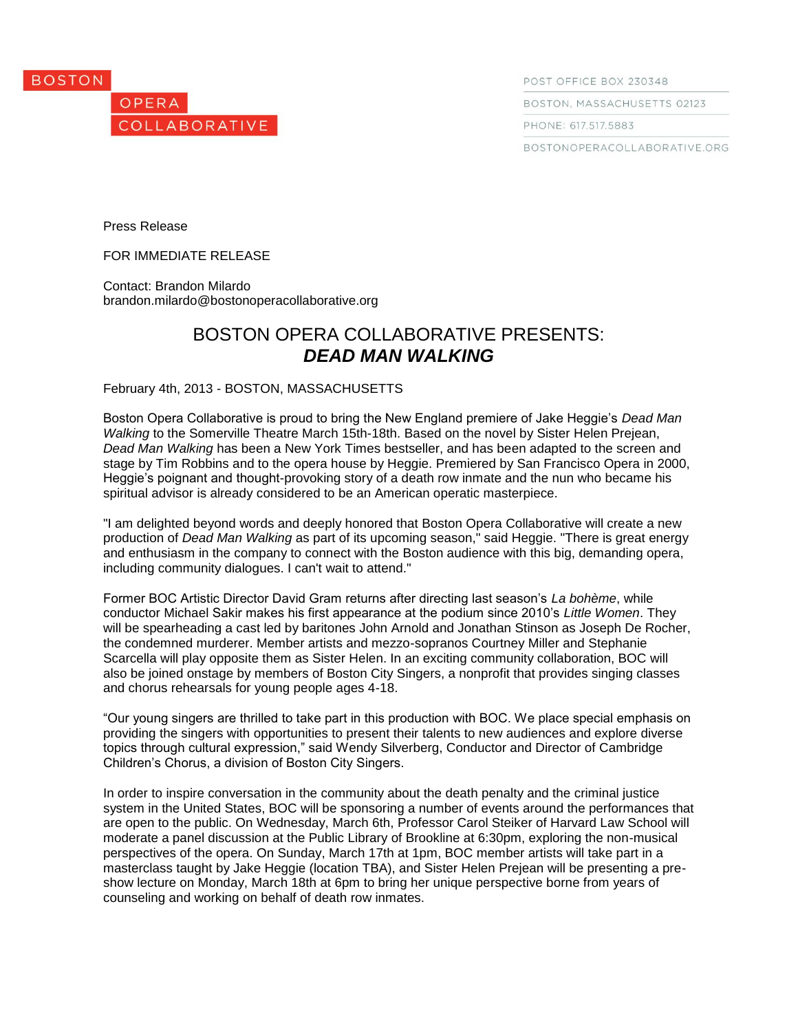



POST OFFICE BOX 230348

BOSTON, MASSACHUSETTS 02123

PHONE: 617.517.5883

BOSTONOPERACOLLABORATIVE.ORG

Press Release

FOR IMMEDIATE RELEASE

Contact: Brandon Milardo brandon.milardo@bostonoperacollaborative.org

# BOSTON OPERA COLLABORATIVE PRESENTS: *DEAD MAN WALKING*

February 4th, 2013 - BOSTON, MASSACHUSETTS

Boston Opera Collaborative is proud to bring the New England premiere of Jake Heggie's *Dead Man Walking* to the Somerville Theatre March 15th-18th. Based on the novel by Sister Helen Prejean, *Dead Man Walking* has been a New York Times bestseller, and has been adapted to the screen and stage by Tim Robbins and to the opera house by Heggie. Premiered by San Francisco Opera in 2000, Heggie's poignant and thought-provoking story of a death row inmate and the nun who became his spiritual advisor is already considered to be an American operatic masterpiece.

"I am delighted beyond words and deeply honored that Boston Opera Collaborative will create a new production of *Dead Man Walking* as part of its upcoming season," said Heggie. "There is great energy and enthusiasm in the company to connect with the Boston audience with this big, demanding opera, including community dialogues. I can't wait to attend."

Former BOC Artistic Director David Gram returns after directing last season's *La bohème*, while conductor Michael Sakir makes his first appearance at the podium since 2010's *Little Women*. They will be spearheading a cast led by baritones John Arnold and Jonathan Stinson as Joseph De Rocher, the condemned murderer. Member artists and mezzo-sopranos Courtney Miller and Stephanie Scarcella will play opposite them as Sister Helen. In an exciting community collaboration, BOC will also be joined onstage by members of Boston City Singers, a nonprofit that provides singing classes and chorus rehearsals for young people ages 4-18.

"Our young singers are thrilled to take part in this production with BOC. We place special emphasis on providing the singers with opportunities to present their talents to new audiences and explore diverse topics through cultural expression," said Wendy Silverberg, Conductor and Director of Cambridge Children's Chorus, a division of Boston City Singers.

In order to inspire conversation in the community about the death penalty and the criminal justice system in the United States, BOC will be sponsoring a number of events around the performances that are open to the public. On Wednesday, March 6th, Professor Carol Steiker of Harvard Law School will moderate a panel discussion at the Public Library of Brookline at 6:30pm, exploring the non-musical perspectives of the opera. On Sunday, March 17th at 1pm, BOC member artists will take part in a masterclass taught by Jake Heggie (location TBA), and Sister Helen Prejean will be presenting a preshow lecture on Monday, March 18th at 6pm to bring her unique perspective borne from years of counseling and working on behalf of death row inmates.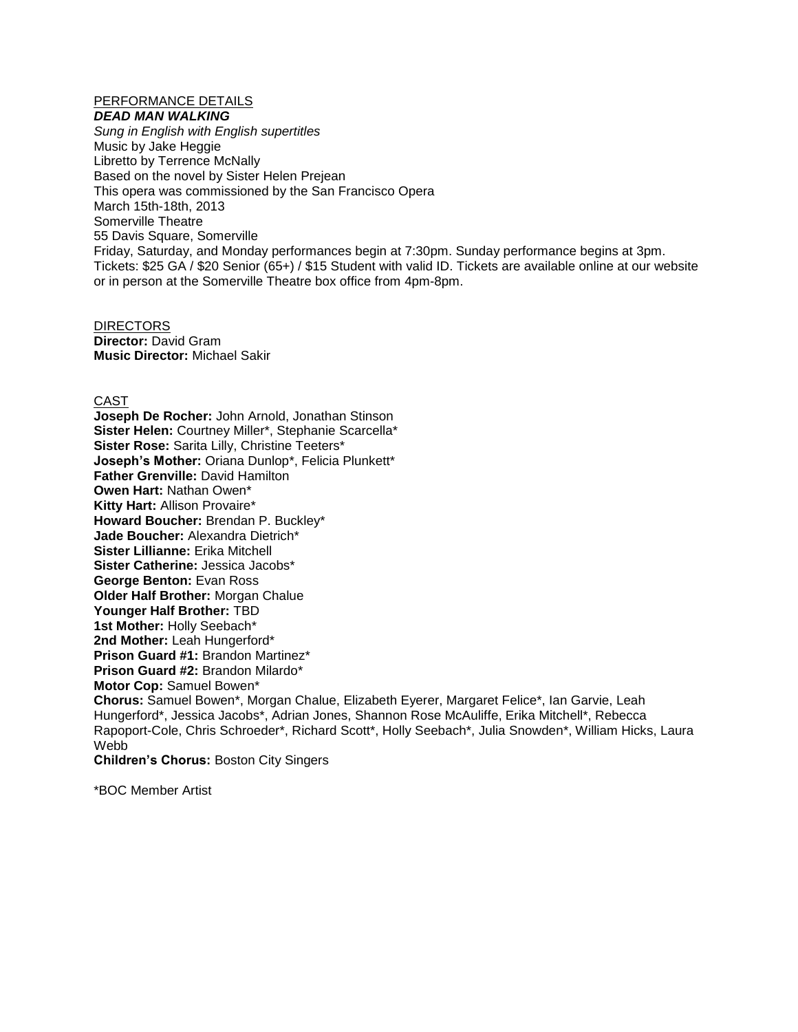## PERFORMANCE DETAILS

*DEAD MAN WALKING*

*Sung in English with English supertitles* Music by Jake Heggie Libretto by Terrence McNally Based on the novel by Sister Helen Prejean This opera was commissioned by the San Francisco Opera March 15th-18th, 2013 Somerville Theatre 55 Davis Square, Somerville Friday, Saturday, and Monday performances begin at 7:30pm. Sunday performance begins at 3pm. Tickets: \$25 GA / \$20 Senior (65+) / \$15 Student with valid ID. Tickets are available online at our website or in person at the Somerville Theatre box office from 4pm-8pm.

**DIRECTORS Director:** David Gram **Music Director:** Michael Sakir

### CAST

**Joseph De Rocher:** John Arnold, Jonathan Stinson **Sister Helen:** Courtney Miller\*, Stephanie Scarcella\* **Sister Rose:** Sarita Lilly, Christine Teeters\* **Joseph's Mother:** Oriana Dunlop\*, Felicia Plunkett\* **Father Grenville:** David Hamilton **Owen Hart:** Nathan Owen\* **Kitty Hart:** Allison Provaire\* **Howard Boucher:** Brendan P. Buckley\* **Jade Boucher:** Alexandra Dietrich\* **Sister Lillianne:** Erika Mitchell **Sister Catherine:** Jessica Jacobs\* **George Benton:** Evan Ross **Older Half Brother:** Morgan Chalue **Younger Half Brother:** TBD **1st Mother:** Holly Seebach\* **2nd Mother:** Leah Hungerford\* **Prison Guard #1:** Brandon Martinez\* **Prison Guard #2:** Brandon Milardo\* **Motor Cop:** Samuel Bowen\* **Chorus:** Samuel Bowen\*, Morgan Chalue, Elizabeth Eyerer, Margaret Felice\*, Ian Garvie, Leah Hungerford\*, Jessica Jacobs\*, Adrian Jones, Shannon Rose McAuliffe, Erika Mitchell\*, Rebecca Rapoport-Cole, Chris Schroeder\*, Richard Scott\*, Holly Seebach\*, Julia Snowden\*, William Hicks, Laura Webb **Children's Chorus:** Boston City Singers

\*BOC Member Artist